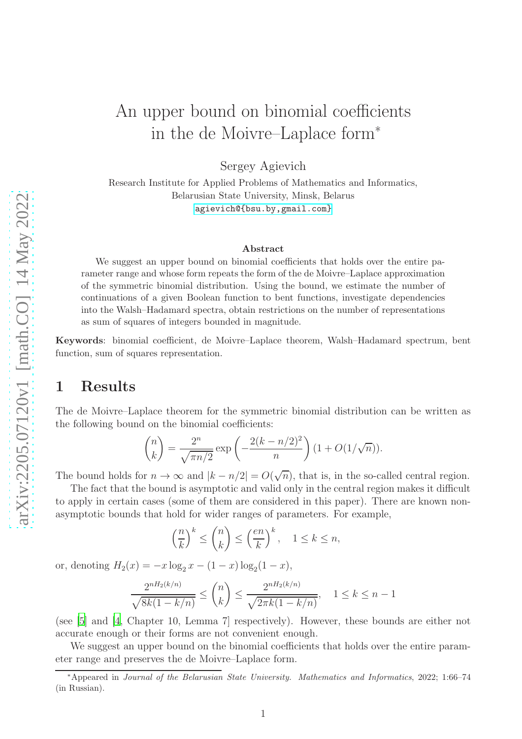# An upper bound on binomial coefficients in the de Moivre–Laplace form<sup>∗</sup>

Sergey Agievich

Research Institute for Applied Problems of Mathematics and Informatics, Belarusian State University, Minsk, Belarus <agievich@{bsu.by,gmail.com}>

#### Abstract

We suggest an upper bound on binomial coefficients that holds over the entire parameter range and whose form repeats the form of the de Moivre–Laplace approximation of the symmetric binomial distribution. Using the bound, we estimate the number of continuations of a given Boolean function to bent functions, investigate dependencies into the Walsh–Hadamard spectra, obtain restrictions on the number of representations as sum of squares of integers bounded in magnitude.

Keywords: binomial coefficient, de Moivre–Laplace theorem, Walsh–Hadamard spectrum, bent function, sum of squares representation.

#### 1 Results

The de Moivre–Laplace theorem for the symmetric binomial distribution can be written as the following bound on the binomial coefficients:

$$
\binom{n}{k} = \frac{2^n}{\sqrt{\pi n/2}} \exp\left(-\frac{2(k - n/2)^2}{n}\right) (1 + O(1/\sqrt{n})).
$$

The bound holds for  $n \to \infty$  and  $|k - n/2| = O(\sqrt{n})$ , that is, in the so-called central region.

The fact that the bound is asymptotic and valid only in the central region makes it difficult to apply in certain cases (some of them are considered in this paper). There are known nonasymptotic bounds that hold for wider ranges of parameters. For example,

$$
\left(\frac{n}{k}\right)^k \le \binom{n}{k} \le \left(\frac{en}{k}\right)^k, \quad 1 \le k \le n,
$$

or, denoting  $H_2(x) = -x \log_2 x - (1 - x) \log_2 (1 - x)$ ,

$$
\frac{2^{nH_2(k/n)}}{\sqrt{8k(1-k/n)}} \le \binom{n}{k} \le \frac{2^{nH_2(k/n)}}{\sqrt{2\pi k(1-k/n)}}, \quad 1 \le k \le n-1
$$

(see [\[5](#page-8-0)] and [\[4,](#page-8-1) Chapter 10, Lemma 7] respectively). However, these bounds are either not accurate enough or their forms are not convenient enough.

We suggest an upper bound on the binomial coefficients that holds over the entire parameter range and preserves the de Moivre–Laplace form.

<sup>∗</sup>Appeared in Journal of the Belarusian State University. Mathematics and Informatics, 2022; 1:66–74 (in Russian).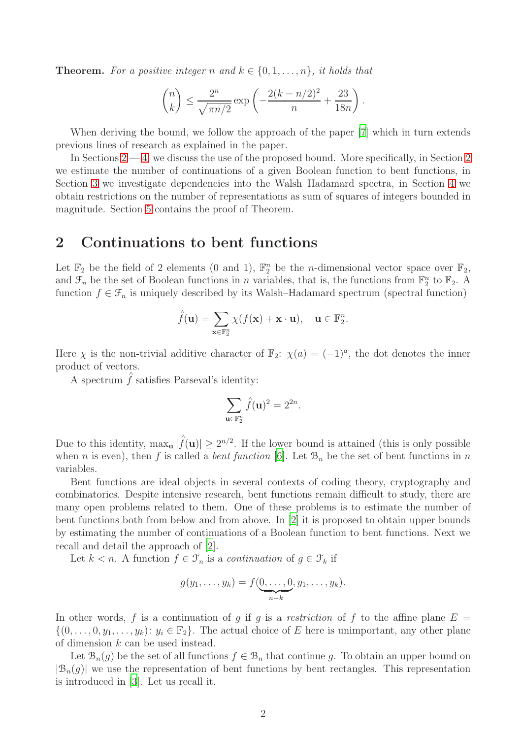**Theorem.** For a positive integer n and  $k \in \{0, 1, \ldots, n\}$ , it holds that

$$
\binom{n}{k} \le \frac{2^n}{\sqrt{\pi n/2}} \exp\left(-\frac{2(k-n/2)^2}{n} + \frac{23}{18n}\right).
$$

When deriving the bound, we follow the approach of the paper [\[7](#page-8-2)] which in turn extends previous lines of research as explained in the paper.

In Sections  $2 - 4$ , we discuss the use of the proposed bound. More specifically, in Section [2](#page-1-0) we estimate the number of continuations of a given Boolean function to bent functions, in Section [3](#page-3-0) we investigate dependencies into the Walsh–Hadamard spectra, in Section [4](#page-5-0) we obtain restrictions on the number of representations as sum of squares of integers bounded in magnitude. Section [5](#page-6-0) contains the proof of Theorem.

#### <span id="page-1-0"></span>2 Continuations to bent functions

Let  $\mathbb{F}_2$  be the field of 2 elements (0 and 1),  $\mathbb{F}_2^n$  be the *n*-dimensional vector space over  $\mathbb{F}_2$ , and  $\mathcal{F}_n$  be the set of Boolean functions in n variables, that is, the functions from  $\mathbb{F}_2^n$  to  $\mathbb{F}_2$ . A function  $f \in \mathcal{F}_n$  is uniquely described by its Walsh–Hadamard spectrum (spectral function)

$$
\hat{f}(\mathbf{u}) = \sum_{\mathbf{x} \in \mathbb{F}_2^n} \chi(f(\mathbf{x}) + \mathbf{x} \cdot \mathbf{u}), \quad \mathbf{u} \in \mathbb{F}_2^n.
$$

Here  $\chi$  is the non-trivial additive character of  $\mathbb{F}_2$ :  $\chi(a) = (-1)^a$ , the dot denotes the inner product of vectors.

A spectrum  $\hat{f}$  satisfies Parseval's identity:

$$
\sum_{\mathbf{u}\in\mathbb{F}_2^n}\hat{f}(\mathbf{u})^2=2^{2n}.
$$

Due to this identity,  $\max_{\mathbf{u}} |\hat{f}(\mathbf{u})| \geq 2^{n/2}$ . If the lower bound is attained (this is only possible when *n* is even), then f is called a *bent function* [\[6\]](#page-8-3). Let  $\mathcal{B}_n$  be the set of bent functions in *n* variables.

Bent functions are ideal objects in several contexts of coding theory, cryptography and combinatorics. Despite intensive research, bent functions remain difficult to study, there are many open problems related to them. One of these problems is to estimate the number of bent functions both from below and from above. In [\[2\]](#page-8-4) it is proposed to obtain upper bounds by estimating the number of continuations of a Boolean function to bent functions. Next we recall and detail the approach of [\[2\]](#page-8-4).

Let  $k < n$ . A function  $f \in \mathcal{F}_n$  is a *continuation* of  $g \in \mathcal{F}_k$  if

$$
g(y_1,\ldots,y_k)=f(\underbrace{0,\ldots,0}_{n-k},y_1,\ldots,y_k).
$$

In other words, f is a continuation of g if g is a restriction of f to the affine plane  $E =$  $\{(0,\ldots,0,y_1,\ldots,y_k): y_i \in \mathbb{F}_2\}.$  The actual choice of E here is unimportant, any other plane of dimension k can be used instead.

Let  $\mathcal{B}_n(g)$  be the set of all functions  $f \in \mathcal{B}_n$  that continue g. To obtain an upper bound on  $|\mathcal{B}_n(g)|$  we use the representation of bent functions by bent rectangles. This representation is introduced in [\[3](#page-8-5)]. Let us recall it.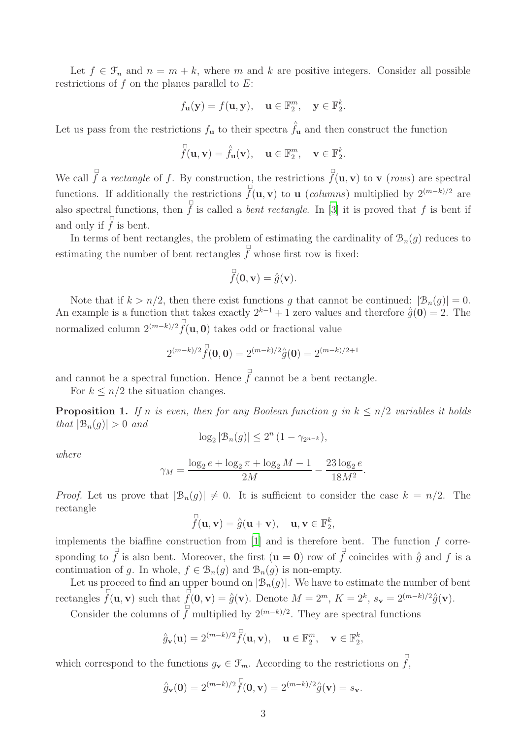Let  $f \in \mathcal{F}_n$  and  $n = m + k$ , where m and k are positive integers. Consider all possible restrictions of  $f$  on the planes parallel to  $E$ :

$$
f_{\mathbf{u}}(\mathbf{y}) = f(\mathbf{u}, \mathbf{y}), \quad \mathbf{u} \in \mathbb{F}_2^m, \quad \mathbf{y} \in \mathbb{F}_2^k.
$$

Let us pass from the restrictions  $f_{\mathbf{u}}$  to their spectra  $\hat{f}_{\mathbf{u}}$  and then construct the function

$$
\overline{\mathring{f}}(\mathbf{u}, \mathbf{v}) = \mathring{f}_{\mathbf{u}}(\mathbf{v}), \quad \mathbf{u} \in \mathbb{F}_2^m, \quad \mathbf{v} \in \mathbb{F}_2^k.
$$

We call  $\overline{f}$  a *rectangle* of f. By construction, the restrictions  $\overline{f}(\mathbf{u}, \mathbf{v})$  to **v** (*rows*) are spectral functions. If additionally the restrictions  $\int_{0}^{\square} (\mathbf{u}, \mathbf{v})$  to **u** (*columns*) multiplied by  $2^{(m-k)/2}$  are also spectral functions, then  $\overline{f}$  is called a *bent rectangle*. In [\[3](#page-8-5)] it is proved that f is bent if and only if  $\overline{f}$  is bent.

In terms of bent rectangles, the problem of estimating the cardinality of  $\mathcal{B}_n(g)$  reduces to estimating the number of bent rectangles  $\overline{f}$  whose first row is fixed:

$$
\overline{\overline{f}}(\mathbf{0},\mathbf{v}) = \hat{g}(\mathbf{v}).
$$

Note that if  $k > n/2$ , then there exist functions g that cannot be continued:  $|\mathcal{B}_n(g)| = 0$ . An example is a function that takes exactly  $2^{k-1} + 1$  zero values and therefore  $\hat{g}(0) = 2$ . The normalized column  $2^{(m-k)/2} \overline{f}(\mathbf{u}, \mathbf{0})$  takes odd or fractional value

$$
2^{(m-k)/2} \hat{f}(\mathbf{0}, \mathbf{0}) = 2^{(m-k)/2} \hat{g}(\mathbf{0}) = 2^{(m-k)/2+1}
$$

and cannot be a spectral function. Hence  $\overline{f}$  cannot be a bent rectangle.

<span id="page-2-0"></span>For  $k \leq n/2$  the situation changes.

**Proposition 1.** *If n is even, then for any Boolean function g in*  $k \leq n/2$  *variables it holds that*  $|\mathcal{B}_n(q)| > 0$  *and* 

$$
\log_2 |\mathcal{B}_n(g)| \le 2^n (1 - \gamma_{2^{n-k}}),
$$

*where*

$$
\gamma_M = \frac{\log_2 e + \log_2 \pi + \log_2 M - 1}{2M} - \frac{23 \log_2 e}{18M^2}.
$$

*Proof.* Let us prove that  $|\mathcal{B}_n(g)| \neq 0$ . It is sufficient to consider the case  $k = n/2$ . The rectangle

$$
\overline{\mathring{f}}(\mathbf{u}, \mathbf{v}) = \hat{g}(\mathbf{u} + \mathbf{v}), \quad \mathbf{u}, \mathbf{v} \in \mathbb{F}_2^k,
$$

implements the biaffine construction from  $[1]$  and is therefore bent. The function  $f$  corresponding to  $\overline{f}$  is also bent. Moreover, the first  $(\mathbf{u} = \mathbf{0})$  row of  $\overline{f}$  coincides with  $\hat{g}$  and f is a continuation of g. In whole,  $f \in \mathcal{B}_n(g)$  and  $\mathcal{B}_n(g)$  is non-empty.

Let us proceed to find an upper bound on  $|\mathcal{B}_n(g)|$ . We have to estimate the number of bent rectangles  $\overline{\hat{f}}(\mathbf{u}, \mathbf{v})$  such that  $\overline{\hat{f}}(\mathbf{0}, \mathbf{v}) = \hat{g}(\mathbf{v})$ . Denote  $M = 2^m$ ,  $K = 2^k$ ,  $s_{\mathbf{v}} = 2^{(m-k)/2} \hat{g}(\mathbf{v})$ .

Consider the columns of  $\overline{f}$  multiplied by  $2^{(m-k)/2}$ . They are spectral functions

$$
\hat{g}_{\mathbf{v}}(\mathbf{u}) = 2^{(m-k)/2} \tilde{f}(\mathbf{u}, \mathbf{v}), \quad \mathbf{u} \in \mathbb{F}_2^m, \quad \mathbf{v} \in \mathbb{F}_2^k,
$$

which correspond to the functions  $g_{\mathbf{v}} \in \mathcal{F}_m$ . According to the restrictions on  $\overline{\mathcal{f}}$ ,

$$
\hat{g}_{\mathbf{v}}(\mathbf{0}) = 2^{(m-k)/2} \hat{f}(\mathbf{0}, \mathbf{v}) = 2^{(m-k)/2} \hat{g}(\mathbf{v}) = s_{\mathbf{v}}.
$$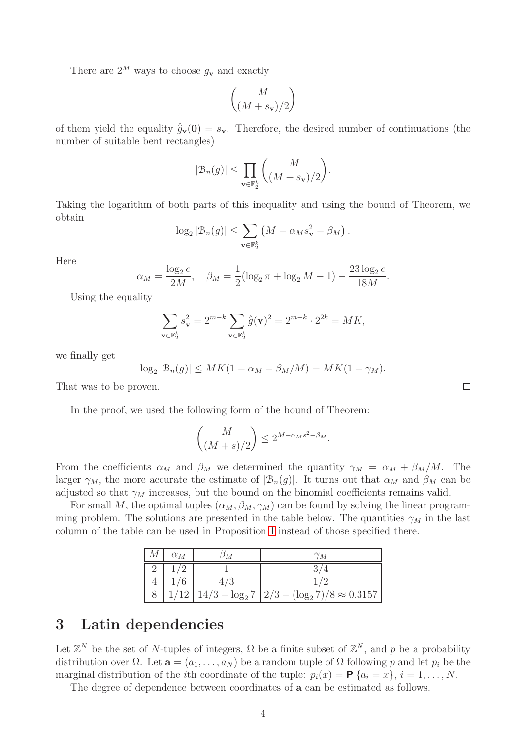There are  $2^M$  ways to choose  $g_v$  and exactly

$$
\binom{M}{(M+s_{\bf v})/2}
$$

of them yield the equality  $\hat{g}_{\mathbf{v}}(0) = s_{\mathbf{v}}$ . Therefore, the desired number of continuations (the number of suitable bent rectangles)

$$
|\mathcal{B}_n(g)| \le \prod_{\mathbf{v} \in \mathbb{F}_2^k} {M \choose (M+s_{\mathbf{v}})/2}.
$$

Taking the logarithm of both parts of this inequality and using the bound of Theorem, we obtain

$$
\log_2 |\mathcal{B}_n(g)| \leq \sum_{\mathbf{v} \in \mathbb{F}_2^k} \left( M - \alpha_M s_{\mathbf{v}}^2 - \beta_M \right).
$$

Here

$$
\alpha_M = \frac{\log_2 e}{2M}, \quad \beta_M = \frac{1}{2} (\log_2 \pi + \log_2 M - 1) - \frac{23 \log_2 e}{18M}.
$$

Using the equality

$$
\sum_{\mathbf{v}\in\mathbb{F}_2^k} s_{\mathbf{v}}^2 = 2^{m-k} \sum_{\mathbf{v}\in\mathbb{F}_2^k} \hat{g}(\mathbf{v})^2 = 2^{m-k} \cdot 2^{2k} = MK,
$$

we finally get

$$
\log_2 |\mathcal{B}_n(g)| \leq MK(1 - \alpha_M - \beta_M/M) = MK(1 - \gamma_M).
$$

That was to be proven.

In the proof, we used the following form of the bound of Theorem:

$$
\binom{M}{(M+s)/2} \le 2^{M-\alpha_M s^2 - \beta_M}.
$$

From the coefficients  $\alpha_M$  and  $\beta_M$  we determined the quantity  $\gamma_M = \alpha_M + \beta_M/M$ . The larger  $\gamma_M$ , the more accurate the estimate of  $|\mathcal{B}_n(g)|$ . It turns out that  $\alpha_M$  and  $\beta_M$  can be adjusted so that  $\gamma_M$  increases, but the bound on the binomial coefficients remains valid.

For small M, the optimal tuples  $(\alpha_M, \beta_M, \gamma_M)$  can be found by solving the linear programming problem. The solutions are presented in the table below. The quantities  $\gamma_M$  in the last column of the table can be used in Proposition [1](#page-2-0) instead of those specified there.

| $\alpha_M$ | $\gamma_M$                                                       |
|------------|------------------------------------------------------------------|
|            |                                                                  |
|            |                                                                  |
|            | $1/12$   $14/3 - \log_2 7$   $2/3 - (\log_2 7)/8 \approx 0.3157$ |

### <span id="page-3-0"></span>3 Latin dependencies

Let  $\mathbb{Z}^N$  be the set of N-tuples of integers,  $\Omega$  be a finite subset of  $\mathbb{Z}^N$ , and p be a probability distribution over  $\Omega$ . Let  $\mathbf{a} = (a_1, \ldots, a_N)$  be a random tuple of  $\Omega$  following p and let  $p_i$  be the marginal distribution of the *i*th coordinate of the tuple:  $p_i(x) = \mathbf{P} \{a_i = x\}, i = 1, \ldots, N$ .

The degree of dependence between coordinates of a can be estimated as follows.

 $\Box$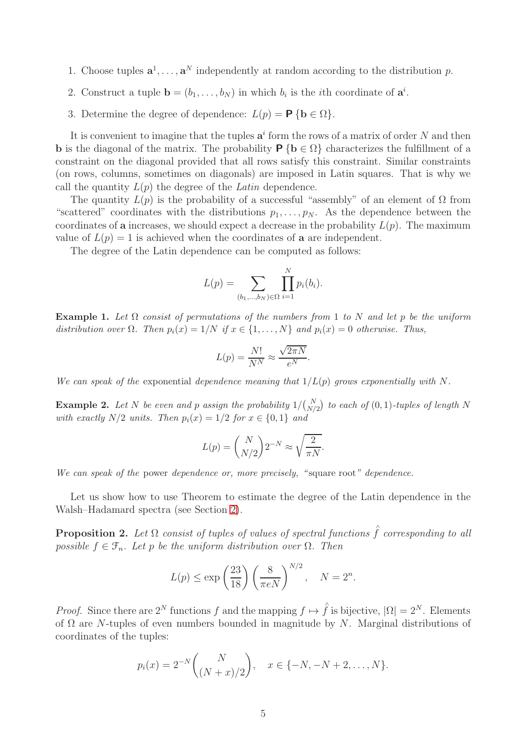- 1. Choose tuples  $\mathbf{a}^1, \ldots, \mathbf{a}^N$  independently at random according to the distribution p.
- 2. Construct a tuple  $\mathbf{b} = (b_1, \ldots, b_N)$  in which  $b_i$  is the *i*th coordinate of  $\mathbf{a}^i$ .
- 3. Determine the degree of dependence:  $L(p) = \mathbf{P} \{ \mathbf{b} \in \Omega \}$ .

It is convenient to imagine that the tuples  $a^i$  form the rows of a matrix of order N and then **b** is the diagonal of the matrix. The probability  $P \{b \in \Omega\}$  characterizes the fulfillment of a constraint on the diagonal provided that all rows satisfy this constraint. Similar constraints (on rows, columns, sometimes on diagonals) are imposed in Latin squares. That is why we call the quantity  $L(p)$  the degree of the *Latin* dependence.

The quantity  $L(p)$  is the probability of a successful "assembly" of an element of  $\Omega$  from "scattered" coordinates with the distributions  $p_1, \ldots, p_N$ . As the dependence between the coordinates of a increases, we should expect a decrease in the probability  $L(p)$ . The maximum value of  $L(p) = 1$  is achieved when the coordinates of **a** are independent.

The degree of the Latin dependence can be computed as follows:

$$
L(p) = \sum_{(b_1, ..., b_N) \in \Omega} \prod_{i=1}^N p_i(b_i).
$$

**Example 1.** Let  $\Omega$  consist of permutations of the numbers from 1 to N and let p be the uniform distribution over  $\Omega$ . Then  $p_i(x) = 1/N$  if  $x \in \{1, ..., N\}$  and  $p_i(x) = 0$  otherwise. Thus,

$$
L(p) = \frac{N!}{N^N} \approx \frac{\sqrt{2\pi N}}{e^N}.
$$

We can speak of the exponential dependence meaning that  $1/L(p)$  grows exponentially with N.

**Example 2.** Let N be even and p assign the probability  $1/\binom{N}{N/2}$  to each of  $(0, 1)$ -tuples of length N with exactly  $N/2$  units. Then  $p_i(x) = 1/2$  for  $x \in \{0, 1\}$  and

$$
L(p) = {N \choose N/2} 2^{-N} \approx \sqrt{\frac{2}{\pi N}}.
$$

We can speak of the power dependence or, more precisely, "square root" dependence.

Let us show how to use Theorem to estimate the degree of the Latin dependence in the Walsh–Hadamard spectra (see Section [2\)](#page-1-0).

**Proposition 2.** Let  $\Omega$  *consist of tuples of values of spectral functions*  $\hat{f}$  *corresponding to all possible*  $f \in \mathcal{F}_n$ *. Let* p *be the uniform distribution over*  $\Omega$ *. Then* 

$$
L(p) \le \exp\left(\frac{23}{18}\right) \left(\frac{8}{\pi eN}\right)^{N/2}, \quad N = 2^n.
$$

*Proof.* Since there are  $2^N$  functions f and the mapping  $f \mapsto \hat{f}$  is bijective,  $|\Omega| = 2^N$ . Elements of  $\Omega$  are N-tuples of even numbers bounded in magnitude by N. Marginal distributions of coordinates of the tuples:

$$
p_i(x) = 2^{-N} {N \choose (N+x)/2}, \quad x \in \{-N, -N+2, \dots, N\}.
$$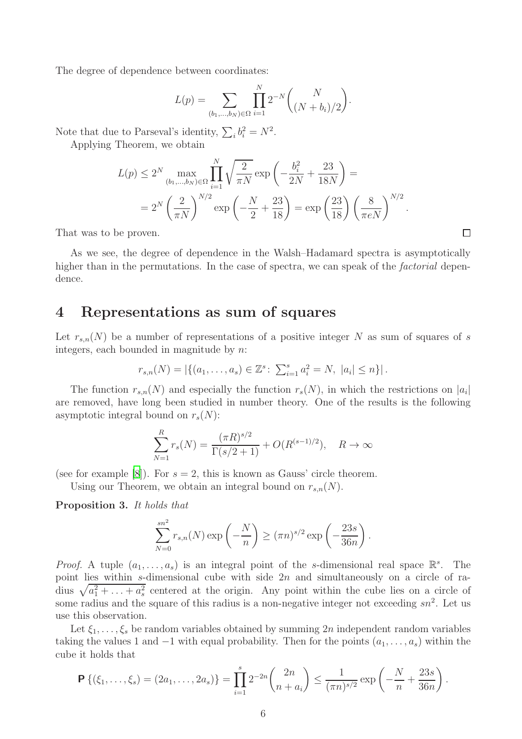The degree of dependence between coordinates:

$$
L(p) = \sum_{(b_1, \dots, b_N) \in \Omega} \prod_{i=1}^N 2^{-N} {N \choose (N + b_i)/2}.
$$

Note that due to Parseval's identity,  $\sum_i b_i^2 = N^2$ .

Applying Theorem, we obtain

$$
L(p) \le 2^N \max_{(b_1, \dots, b_N) \in \Omega} \prod_{i=1}^N \sqrt{\frac{2}{\pi N}} \exp\left(-\frac{b_i^2}{2N} + \frac{23}{18N}\right) =
$$
  
=  $2^N \left(\frac{2}{\pi N}\right)^{N/2} \exp\left(-\frac{N}{2} + \frac{23}{18}\right) = \exp\left(\frac{23}{18}\right) \left(\frac{8}{\pi eN}\right)^{N/2}.$ 

That was to be proven.

As we see, the degree of dependence in the Walsh–Hadamard spectra is asymptotically higher than in the permutations. In the case of spectra, we can speak of the *factorial* dependence.

### <span id="page-5-0"></span>4 Representations as sum of squares

Let  $r_{s,n}(N)$  be a number of representations of a positive integer N as sum of squares of s integers, each bounded in magnitude by  $n$ .

$$
r_{s,n}(N) = |\{(a_1, \ldots, a_s) \in \mathbb{Z}^s : \sum_{i=1}^s a_i^2 = N, |a_i| \leq n\}|.
$$

The function  $r_{s,n}(N)$  and especially the function  $r_s(N)$ , in which the restrictions on  $|a_i|$ are removed, have long been studied in number theory. One of the results is the following asymptotic integral bound on  $r_s(N)$ :

$$
\sum_{N=1}^{R} r_s(N) = \frac{(\pi R)^{s/2}}{\Gamma(s/2+1)} + O(R^{(s-1)/2}), \quad R \to \infty
$$

(see for example [\[8](#page-8-7)]). For  $s = 2$ , this is known as Gauss' circle theorem.

Using our Theorem, we obtain an integral bound on  $r_{s,n}(N)$ .

Proposition 3. *It holds that*

$$
\sum_{N=0}^{sn^2} r_{s,n}(N) \exp\left(-\frac{N}{n}\right) \ge (\pi n)^{s/2} \exp\left(-\frac{23s}{36n}\right).
$$

*Proof.* A tuple  $(a_1, \ldots, a_s)$  is an integral point of the s-dimensional real space  $\mathbb{R}^s$ . The point lies within s-dimensional cube with side  $2n$  and simultaneously on a circle of radius  $\sqrt{a_1^2 + \ldots + a_s^2}$  centered at the origin. Any point within the cube lies on a circle of some radius and the square of this radius is a non-negative integer not exceeding  $sn^2$ . Let us use this observation.

Let  $\xi_1, \ldots, \xi_s$  be random variables obtained by summing 2n independent random variables taking the values 1 and  $-1$  with equal probability. Then for the points  $(a_1, \ldots, a_s)$  within the cube it holds that

$$
\mathbf{P}\left\{(\xi_1,\ldots,\xi_s)=(2a_1,\ldots,2a_s)\right\}=\prod_{i=1}^s 2^{-2n}\binom{2n}{n+a_i}\leq \frac{1}{(\pi n)^{s/2}}\exp\left(-\frac{N}{n}+\frac{23s}{36n}\right).
$$

 $\Box$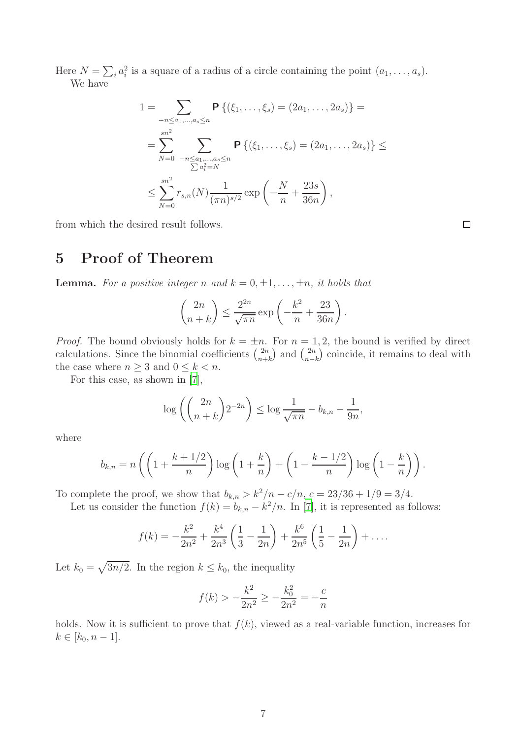Here  $N = \sum_i a_i^2$  is a square of a radius of a circle containing the point  $(a_1, \ldots, a_s)$ . We have

$$
1 = \sum_{-n \le a_1, \dots, a_s \le n} \mathbf{P}\left\{ (\xi_1, \dots, \xi_s) = (2a_1, \dots, 2a_s) \right\} =
$$
  
= 
$$
\sum_{N=0}^{sn^2} \sum_{-n \le a_1, \dots, a_s \le n} \mathbf{P}\left\{ (\xi_1, \dots, \xi_s) = (2a_1, \dots, 2a_s) \right\} \le
$$
  

$$
\le \sum_{N=0}^{sn^2} r_{s,n}(N) \frac{1}{(\pi n)^{s/2}} \exp\left(-\frac{N}{n} + \frac{23s}{36n}\right),
$$

<span id="page-6-0"></span>from which the desired result follows.

# 5 Proof of Theorem

**Lemma.** For a positive integer n and  $k = 0, \pm 1, \ldots, \pm n$ , it holds that

$$
\binom{2n}{n+k} \le \frac{2^{2n}}{\sqrt{\pi n}} \exp\left(-\frac{k^2}{n} + \frac{23}{36n}\right).
$$

*Proof.* The bound obviously holds for  $k = \pm n$ . For  $n = 1, 2$ , the bound is verified by direct calculations. Since the binomial coefficients  $\binom{2n}{n+1}$  $\binom{2n}{n+k}$  and  $\binom{2n}{n-k}$  $\binom{2n}{n-k}$  coincide, it remains to deal with the case where  $n \geq 3$  and  $0 \leq k < n$ .

For this case, as shown in [\[7\]](#page-8-2),

$$
\log\left(\binom{2n}{n+k}2^{-2n}\right)\leq \log\frac{1}{\sqrt{\pi n}}-b_{k,n}-\frac{1}{9n},
$$

where

$$
b_{k,n} = n\left(\left(1 + \frac{k+1/2}{n}\right)\log\left(1 + \frac{k}{n}\right) + \left(1 - \frac{k-1/2}{n}\right)\log\left(1 - \frac{k}{n}\right)\right).
$$

To complete the proof, we show that  $b_{k,n} > k^2/n - c/n$ ,  $c = 23/36 + 1/9 = 3/4$ .

Let us consider the function  $f(k) = b_{k,n} - k^2/n$ . In [\[7\]](#page-8-2), it is represented as follows:

$$
f(k) = -\frac{k^2}{2n^2} + \frac{k^4}{2n^3} \left( \frac{1}{3} - \frac{1}{2n} \right) + \frac{k^6}{2n^5} \left( \frac{1}{5} - \frac{1}{2n} \right) + \dots
$$

Let  $k_0 = \sqrt{3n/2}$ . In the region  $k \leq k_0$ , the inequality

$$
f(k) > -\frac{k^2}{2n^2} \ge -\frac{k_0^2}{2n^2} = -\frac{c}{n}
$$

holds. Now it is sufficient to prove that  $f(k)$ , viewed as a real-variable function, increases for  $k \in [k_0, n-1].$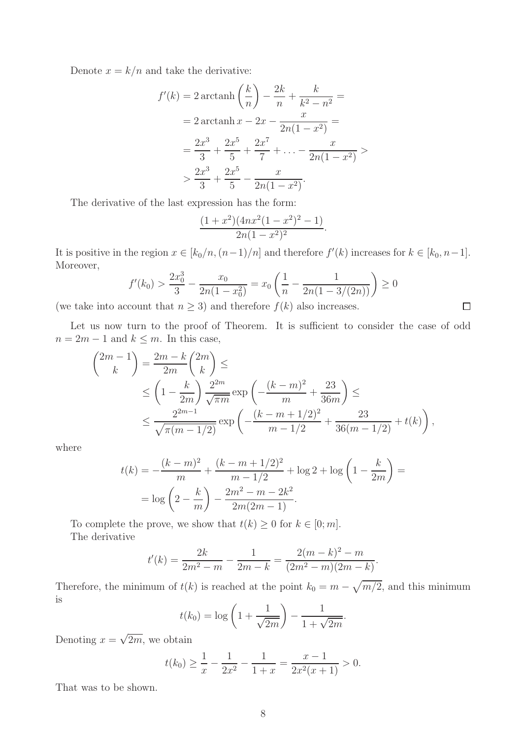Denote  $x = k/n$  and take the derivative:

$$
f'(k) = 2 \arctanh\left(\frac{k}{n}\right) - \frac{2k}{n} + \frac{k}{k^2 - n^2} =
$$
  
= 2 \arctanh x - 2x - \frac{x}{2n(1 - x^2)} =  
=  $\frac{2x^3}{3} + \frac{2x^5}{5} + \frac{2x^7}{7} + \dots - \frac{x}{2n(1 - x^2)} >$   
 $\frac{2x^3}{3} + \frac{2x^5}{5} - \frac{x}{2n(1 - x^2)}.$ 

The derivative of the last expression has the form:

$$
\frac{(1+x^2)(4nx^2(1-x^2)^2-1)}{2n(1-x^2)^2}
$$

It is positive in the region  $x \in [k_0/n, (n-1)/n]$  and therefore  $f'(k)$  increases for  $k \in [k_0, n-1]$ . Moreover,

$$
f'(k_0) > \frac{2x_0^3}{3} - \frac{x_0}{2n(1-x_0^2)} = x_0 \left(\frac{1}{n} - \frac{1}{2n(1-3/(2n))}\right) \ge 0
$$
  
count that  $n > 3$ ) and therefore  $f(k)$  also increases.

.

(we take into account that  $n \geq 3$ ) and therefore  $f(k)$  also increases.

Let us now turn to the proof of Theorem. It is sufficient to consider the case of odd  $n = 2m - 1$  and  $k \leq m$ . In this case,

$$
\begin{aligned}\n\binom{2m-1}{k} &= \frac{2m-k}{2m} \binom{2m}{k} \leq \\
&\leq \left(1 - \frac{k}{2m}\right) \frac{2^{2m}}{\sqrt{\pi m}} \exp\left(-\frac{(k-m)^2}{m} + \frac{23}{36m}\right) \leq \\
&\leq \frac{2^{2m-1}}{\sqrt{\pi (m-1/2)}} \exp\left(-\frac{(k-m+1/2)^2}{m-1/2} + \frac{23}{36(m-1/2)} + t(k)\right),\n\end{aligned}
$$

where

$$
t(k) = -\frac{(k-m)^2}{m} + \frac{(k-m+1/2)^2}{m-1/2} + \log 2 + \log \left(1 - \frac{k}{2m}\right) =
$$

$$
= \log \left(2 - \frac{k}{m}\right) - \frac{2m^2 - m - 2k^2}{2m(2m-1)}.
$$

To complete the prove, we show that  $t(k) \geq 0$  for  $k \in [0; m]$ . The derivative

$$
t'(k) = \frac{2k}{2m^2 - m} - \frac{1}{2m - k} = \frac{2(m - k)^2 - m}{(2m^2 - m)(2m - k)}.
$$

Therefore, the minimum of  $t(k)$  is reached at the point  $k_0 = m - \sqrt{m/2}$ , and this minimum is

$$
t(k_0) = \log\left(1 + \frac{1}{\sqrt{2m}}\right) - \frac{1}{1 + \sqrt{2m}}.
$$

Denoting  $x = \sqrt{2m}$ , we obtain

$$
t(k_0) \ge \frac{1}{x} - \frac{1}{2x^2} - \frac{1}{1+x} = \frac{x-1}{2x^2(x+1)} > 0.
$$

That was to be shown.